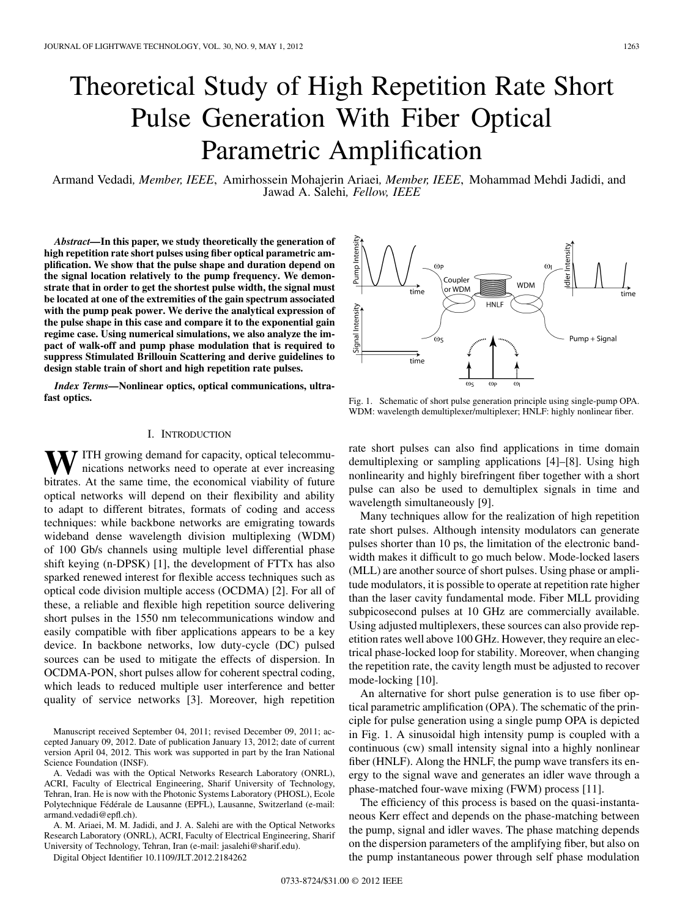# Theoretical Study of High Repetition Rate Short Pulse Generation With Fiber Optical Parametric Amplification

Armand Vedadi*, Member, IEEE*, Amirhossein Mohajerin Ariaei*, Member, IEEE*, Mohammad Mehdi Jadidi, and Jawad A. Salehi*, Fellow, IEEE*

*Abstract—***In this paper, we study theoretically the generation of high repetition rate short pulses using fiber optical parametric amplification. We show that the pulse shape and duration depend on the signal location relatively to the pump frequency. We demonstrate that in order to get the shortest pulse width, the signal must be located at one of the extremities of the gain spectrum associated with the pump peak power. We derive the analytical expression of the pulse shape in this case and compare it to the exponential gain regime case. Using numerical simulations, we also analyze the impact of walk-off and pump phase modulation that is required to suppress Stimulated Brillouin Scattering and derive guidelines to design stable train of short and high repetition rate pulses.**

*Index Terms—***Nonlinear optics, optical communications, ultrafast optics.**

# I. INTRODUCTION

**T** ITH growing demand for capacity, optical telecommunications networks need to operate at ever increasing bitrates. At the same time, the economical viability of future optical networks will depend on their flexibility and ability to adapt to different bitrates, formats of coding and access techniques: while backbone networks are emigrating towards wideband dense wavelength division multiplexing (WDM) of 100 Gb/s channels using multiple level differential phase shift keying (n-DPSK) [1], the development of FTTx has also sparked renewed interest for flexible access techniques such as optical code division multiple access (OCDMA) [2]. For all of these, a reliable and flexible high repetition source delivering short pulses in the 1550 nm telecommunications window and easily compatible with fiber applications appears to be a key device. In backbone networks, low duty-cycle (DC) pulsed sources can be used to mitigate the effects of dispersion. In OCDMA-PON, short pulses allow for coherent spectral coding, which leads to reduced multiple user interference and better quality of service networks [3]. Moreover, high repetition

Manuscript received September 04, 2011; revised December 09, 2011; accepted January 09, 2012. Date of publication January 13, 2012; date of current version April 04, 2012. This work was supported in part by the Iran National Science Foundation (INSF).

A. Vedadi was with the Optical Networks Research Laboratory (ONRL), ACRI, Faculty of Electrical Engineering, Sharif University of Technology, Tehran, Iran. He is now with the Photonic Systems Laboratory (PHOSL), Ecole Polytechnique Fédérale de Lausanne (EPFL), Lausanne, Switzerland (e-mail: armand.vedadi@epfl.ch).

A. M. Ariaei, M. M. Jadidi, and J. A. Salehi are with the Optical Networks Research Laboratory (ONRL), ACRI, Faculty of Electrical Engineering, Sharif University of Technology, Tehran, Iran (e-mail: jasalehi@sharif.edu).

Digital Object Identifier 10.1109/JLT.2012.2184262



Fig. 1. Schematic of short pulse generation principle using single-pump OPA. WDM: wavelength demultiplexer/multiplexer; HNLF: highly nonlinear fiber.

rate short pulses can also find applications in time domain demultiplexing or sampling applications [4]–[8]. Using high nonlinearity and highly birefringent fiber together with a short pulse can also be used to demultiplex signals in time and wavelength simultaneously [9].

Many techniques allow for the realization of high repetition rate short pulses. Although intensity modulators can generate pulses shorter than 10 ps, the limitation of the electronic bandwidth makes it difficult to go much below. Mode-locked lasers (MLL) are another source of short pulses. Using phase or amplitude modulators, it is possible to operate at repetition rate higher than the laser cavity fundamental mode. Fiber MLL providing subpicosecond pulses at 10 GHz are commercially available. Using adjusted multiplexers, these sources can also provide repetition rates well above 100 GHz. However, they require an electrical phase-locked loop for stability. Moreover, when changing the repetition rate, the cavity length must be adjusted to recover mode-locking [10].

An alternative for short pulse generation is to use fiber optical parametric amplification (OPA). The schematic of the principle for pulse generation using a single pump OPA is depicted in Fig. 1. A sinusoidal high intensity pump is coupled with a continuous (cw) small intensity signal into a highly nonlinear fiber (HNLF). Along the HNLF, the pump wave transfers its energy to the signal wave and generates an idler wave through a phase-matched four-wave mixing (FWM) process [11].

The efficiency of this process is based on the quasi-instantaneous Kerr effect and depends on the phase-matching between the pump, signal and idler waves. The phase matching depends on the dispersion parameters of the amplifying fiber, but also on the pump instantaneous power through self phase modulation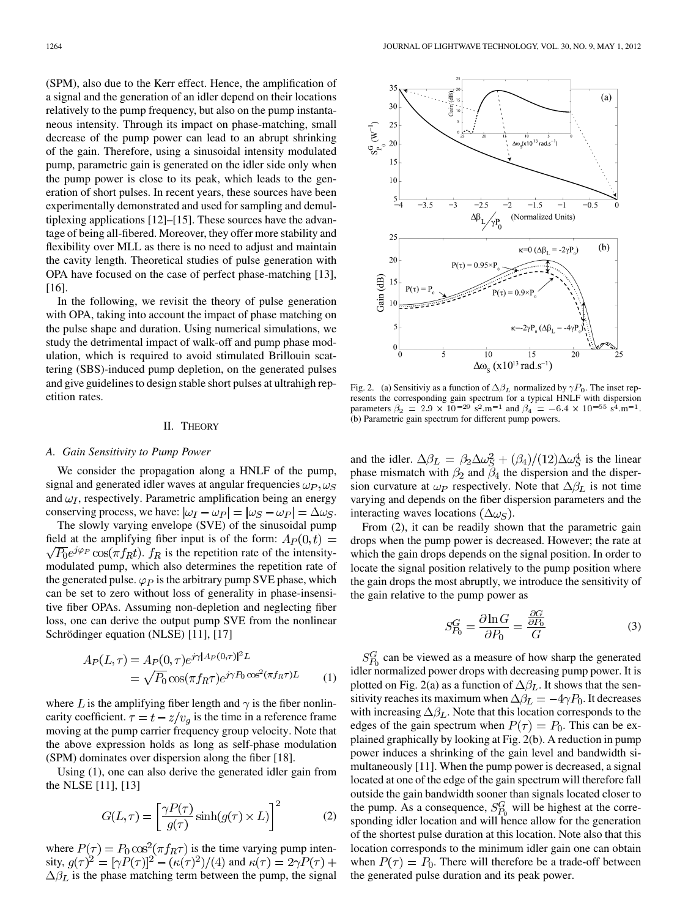(SPM), also due to the Kerr effect. Hence, the amplification of a signal and the generation of an idler depend on their locations relatively to the pump frequency, but also on the pump instantaneous intensity. Through its impact on phase-matching, small decrease of the pump power can lead to an abrupt shrinking of the gain. Therefore, using a sinusoidal intensity modulated pump, parametric gain is generated on the idler side only when the pump power is close to its peak, which leads to the generation of short pulses. In recent years, these sources have been experimentally demonstrated and used for sampling and demultiplexing applications [12]–[15]. These sources have the advantage of being all-fibered. Moreover, they offer more stability and flexibility over MLL as there is no need to adjust and maintain the cavity length. Theoretical studies of pulse generation with OPA have focused on the case of perfect phase-matching [13], [16].

In the following, we revisit the theory of pulse generation with OPA, taking into account the impact of phase matching on the pulse shape and duration. Using numerical simulations, we study the detrimental impact of walk-off and pump phase modulation, which is required to avoid stimulated Brillouin scattering (SBS)-induced pump depletion, on the generated pulses and give guidelines to design stable short pulses at ultrahigh repetition rates.

#### II. THEORY

#### *A. Gain Sensitivity to Pump Power*

We consider the propagation along a HNLF of the pump, signal and generated idler waves at angular frequencies  $\omega_P, \omega_S$ and  $\omega_I$ , respectively. Parametric amplification being an energy conserving process, we have:  $|\omega_I - \omega_P| = |\omega_S - \omega_P| = \Delta \omega_S$ .

The slowly varying envelope (SVE) of the sinusoidal pump field at the amplifying fiber input is of the form:  $A_P(0,t) =$  $\sqrt{P_0}e^{j\varphi_P}\cos(\pi f_R t)$ .  $f_R$  is the repetition rate of the intensitymodulated pump, which also determines the repetition rate of the generated pulse.  $\varphi_P$  is the arbitrary pump SVE phase, which can be set to zero without loss of generality in phase-insensitive fiber OPAs. Assuming non-depletion and neglecting fiber loss, one can derive the output pump SVE from the nonlinear Schrödinger equation (NLSE) [11], [17]

$$
A_P(L,\tau) = A_P(0,\tau)e^{j\gamma|A_P(0,\tau)|^2L}
$$
  
= 
$$
\sqrt{P_0} \cos(\pi f_R \tau)e^{j\gamma P_0 \cos^2(\pi f_R \tau)L}
$$
 (1)

where L is the amplifying fiber length and  $\gamma$  is the fiber nonlinearity coefficient.  $\tau = t - z/v_q$  is the time in a reference frame moving at the pump carrier frequency group velocity. Note that the above expression holds as long as self-phase modulation (SPM) dominates over dispersion along the fiber [18].

Using (1), one can also derive the generated idler gain from the NLSE [11], [13]

$$
G(L,\tau) = \left[\frac{\gamma P(\tau)}{g(\tau)} \sinh(g(\tau) \times L)\right]^2 \tag{2}
$$

where  $P(\tau) = P_0 \cos^2(\pi f_R \tau)$  is the time varying pump intensity,  $g(\tau)^2 = [\gamma P(\tau)]^2 - (\kappa(\tau)^2)/(4)$  and  $\kappa(\tau) = 2\gamma P(\tau) +$  $\Delta \beta_L$  is the phase matching term between the pump, the signal



Fig. 2. (a) Sensitiviy as a function of  $\Delta \beta_L$  normalized by  $\gamma P_0$ . The inset represents the corresponding gain spectrum for a typical HNLF with dispersion parameters  $\beta_2 = 2.9 \times 10^{-29}$  s<sup>2</sup>.m<sup>-1</sup> and  $\beta_4 = -6.4 \times 10^{-55}$  s<sup>4</sup>.m<sup>-1</sup>. (b) Parametric gain spectrum for different pump powers.

and the idler.  $\Delta \beta_L = \beta_2 \Delta \omega_S^2 + (\beta_4)/(12) \Delta \omega_S^4$  is the linear phase mismatch with  $\beta_2$  and  $\beta_4$  the dispersion and the dispersion curvature at  $\omega_P$  respectively. Note that  $\Delta \beta_L$  is not time varying and depends on the fiber dispersion parameters and the interacting waves locations  $(\Delta \omega_S)$ .

From (2), it can be readily shown that the parametric gain drops when the pump power is decreased. However; the rate at which the gain drops depends on the signal position. In order to locate the signal position relatively to the pump position where the gain drops the most abruptly, we introduce the sensitivity of the gain relative to the pump power as

$$
S_{P_0}^G = \frac{\partial \ln G}{\partial P_0} = \frac{\frac{\partial G}{\partial P_0}}{G} \tag{3}
$$

 $S_{P_0}^G$  can be viewed as a measure of how sharp the generated idler normalized power drops with decreasing pump power. It is plotted on Fig. 2(a) as a function of  $\Delta\beta_L$ . It shows that the sensitivity reaches its maximum when  $\Delta \beta_L = -4\gamma P_0$ . It decreases with increasing  $\Delta \beta_L$ . Note that this location corresponds to the edges of the gain spectrum when  $P(\tau) = P_0$ . This can be explained graphically by looking at Fig. 2(b). A reduction in pump power induces a shrinking of the gain level and bandwidth simultaneously [11]. When the pump power is decreased, a signal located at one of the edge of the gain spectrum will therefore fall outside the gain bandwidth sooner than signals located closer to the pump. As a consequence,  $S_{P_0}^G$  will be highest at the corresponding idler location and will hence allow for the generation of the shortest pulse duration at this location. Note also that this location corresponds to the minimum idler gain one can obtain when  $P(\tau) = P_0$ . There will therefore be a trade-off between the generated pulse duration and its peak power.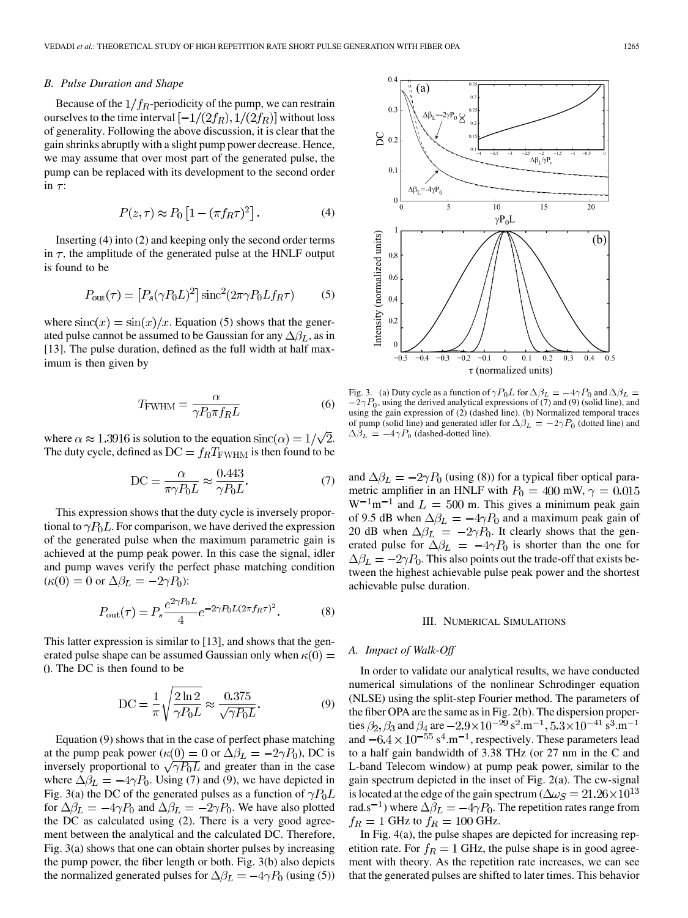## *B. Pulse Duration and Shape*

Because of the  $1/f_R$ -periodicity of the pump, we can restrain ourselves to the time interval  $[-1/(2f_R), 1/(2f_R)]$  without loss of generality. Following the above discussion, it is clear that the gain shrinks abruptly with a slight pump power decrease. Hence, we may assume that over most part of the generated pulse, the pump can be replaced with its development to the second order in  $\tau$ :

$$
P(z,\tau) \approx P_0 \left[ 1 - (\pi f_R \tau)^2 \right]. \tag{4}
$$

Inserting (4) into (2) and keeping only the second order terms in  $\tau$ , the amplitude of the generated pulse at the HNLF output is found to be

$$
P_{\text{out}}(\tau) = \left[ P_s(\gamma P_0 L)^2 \right] \text{sinc}^2(2\pi \gamma P_0 L f_R \tau) \tag{5}
$$

where  $\operatorname{sinc}(x) = \sin(x)/x$ . Equation (5) shows that the generated pulse cannot be assumed to be Gaussian for any  $\Delta\beta_L$ , as in [13]. The pulse duration, defined as the full width at half maximum is then given by

$$
T_{\text{FWHM}} = \frac{\alpha}{\gamma P_0 \pi f_R L} \tag{6}
$$

where  $\alpha \approx 1.3916$  is solution to the equation  $\text{sinc}(\alpha) = 1/\sqrt{2}$ . The duty cycle, defined as  $DC = f_R T_{\text{FWHM}}$  is then found to be

$$
DC = \frac{\alpha}{\pi \gamma P_0 L} \approx \frac{0.443}{\gamma P_0 L}.
$$
 (7)

This expression shows that the duty cycle is inversely proportional to  $\gamma P_0 L$ . For comparison, we have derived the expression of the generated pulse when the maximum parametric gain is achieved at the pump peak power. In this case the signal, idler and pump waves verify the perfect phase matching condition  $(\kappa(0) = 0 \text{ or } \Delta \beta_L = -2\gamma P_0)$ :

$$
P_{\text{out}}(\tau) = P_s \frac{e^{2\gamma P_0 L}}{4} e^{-2\gamma P_0 L (2\pi f_R \tau)^2}.
$$
 (8)

This latter expression is similar to [13], and shows that the generated pulse shape can be assumed Gaussian only when  $\kappa(0) =$ . The DC is then found to be

$$
DC = \frac{1}{\pi} \sqrt{\frac{2 \ln 2}{\gamma P_0 L}} \approx \frac{0.375}{\sqrt{\gamma P_0 L}}.
$$
 (9)

Equation (9) shows that in the case of perfect phase matching at the pump peak power ( $\kappa(0) = 0$  or  $\Delta \beta_L = -2\gamma P_0$ ), DC is inversely proportional to  $\sqrt{\gamma P_0 L}$  and greater than in the case where  $\Delta \beta_L = -4\gamma P_0$ . Using (7) and (9), we have depicted in Fig. 3(a) the DC of the generated pulses as a function of  $\gamma P_0 L$ for  $\Delta \beta_L = -4\gamma P_0$  and  $\Delta \beta_L = -2\gamma P_0$ . We have also plotted the DC as calculated using (2). There is a very good agreement between the analytical and the calculated DC. Therefore, Fig. 3(a) shows that one can obtain shorter pulses by increasing the pump power, the fiber length or both. Fig. 3(b) also depicts the normalized generated pulses for  $\Delta \beta_L = -4\gamma P_0$  (using (5))



Fig. 3.<br> $-2\gamma P$  $-2\gamma P_0$ , using the derived analytical expressions of (7) and (9) (solid line), and using the gain expression of (2) (dashed line). (b) Normalized temporal traces Fig. 3. (a) Duty cycle as a function of  $\gamma P_0 L$  for  $\Delta \beta_L = -4\gamma P_0$  and  $\Delta \beta_L = -2\gamma P_0$ , using the derived analytical expressions of (7) and (9) (solid line), and using the gain expression of (2) (dashed line). (b) Norma  $\Delta \dot{\beta}_L = -4\gamma P_0$  (dashed-dotted line).  $P_0$ , using the gain e<br>the gain e<br>= -4 $\gamma P$ 

and  $\Delta \beta_L = -2\gamma P_0$  (using (8)) for a typical fiber optical parametric amplifier in an HNLF with  $P_0 = 400$  mW,  $\gamma = 0.015$  $W^{-1}m^{-1}$  and  $L = 500$  m. This gives a minimum peak gain of 9.5 dB when  $\Delta \beta_L = -4\gamma P_0$  and a maximum peak gain of 20 dB when  $\Delta \beta_L = -2\gamma P_0$ . It clearly shows that the generated pulse for  $\Delta \beta_L = -4\gamma P_0$  is shorter than the one for  $\Delta\beta_L = -2\gamma P_0$ . This also points out the trade-off that exists between the highest achievable pulse peak power and the shortest achievable pulse duration.

#### III. NUMERICAL SIMULATIONS

## *A. Impact of Walk-Off*

In order to validate our analytical results, we have conducted numerical simulations of the nonlinear Schrodinger equation (NLSE) using the split-step Fourier method. The parameters of the fiber OPA are the same as in Fig. 2(b). The dispersion properties  $\beta_2$ ,  $\beta_3$  and  $\beta_4$  are  $-2.9 \times 10^{-29}$  s<sup>2</sup>.m<sup>-1</sup>, 5.3×10<sup>-41</sup> s<sup>3</sup>.m<sup>-1</sup> and  $-6.4 \times 10^{-55}$  s<sup>4</sup>.m<sup>-1</sup>, respectively. These parameters lead to a half gain bandwidth of 3.38 THz (or 27 nm in the C and L-band Telecom window) at pump peak power, similar to the gain spectrum depicted in the inset of Fig. 2(a). The cw-signal is located at the edge of the gain spectrum ( $\Delta \omega_S = 21.26 \times 10^{13}$ ) rad.s<sup>-1</sup>) where  $\Delta \beta_L = -4\gamma P_0$ . The repetition rates range from  $f_R = 1$  GHz to  $f_R = 100$  GHz.

In Fig. 4(a), the pulse shapes are depicted for increasing repetition rate. For  $f_R = 1$  GHz, the pulse shape is in good agreement with theory. As the repetition rate increases, we can see that the generated pulses are shifted to later times. This behavior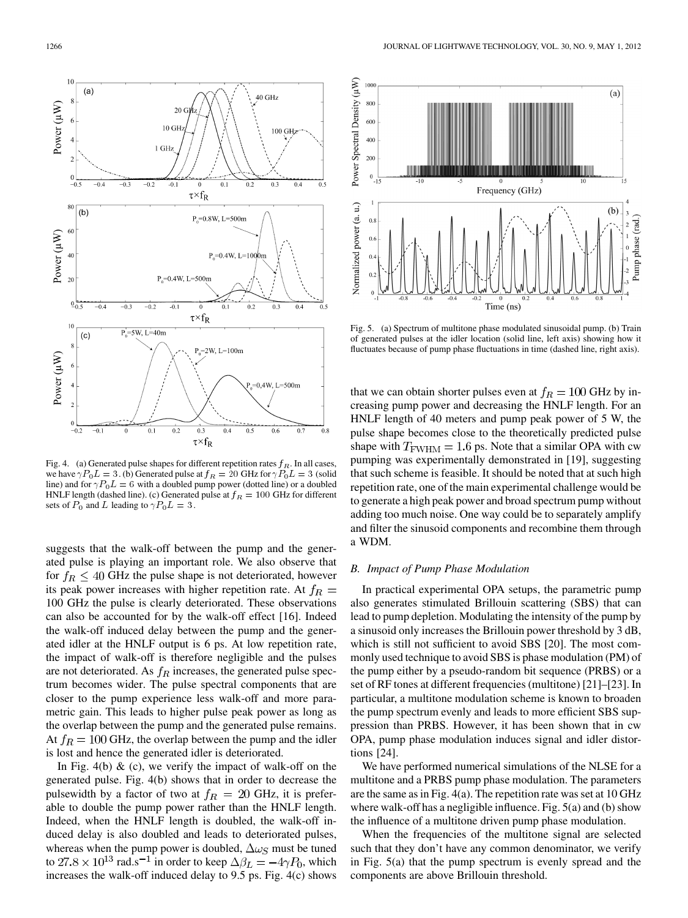

Fig. 4. (a) Generated pulse shapes for different repetition rates  $f_R$ . In all cases, we have  $\gamma P_0 L = 3$ . (b) Generated pulse at  $f_R = 20$  GHz for  $\gamma P_0 L = 3$  (solid line) and for  $\gamma P_0 L = 6$  with a doubled pump power (dotted line) or a doubled HNLF length (dashed line). (c) Generated pulse at  $f_R = 100$  GHz for different sets of  $P_0$  and L leading to  $\gamma P_0 L = 3$ .

suggests that the walk-off between the pump and the generated pulse is playing an important role. We also observe that for  $f_R \leq 40$  GHz the pulse shape is not deteriorated, however its peak power increases with higher repetition rate. At  $f_R =$ 100 GHz the pulse is clearly deteriorated. These observations can also be accounted for by the walk-off effect [16]. Indeed the walk-off induced delay between the pump and the generated idler at the HNLF output is 6 ps. At low repetition rate, the impact of walk-off is therefore negligible and the pulses are not deteriorated. As  $f_R$  increases, the generated pulse spectrum becomes wider. The pulse spectral components that are closer to the pump experience less walk-off and more parametric gain. This leads to higher pulse peak power as long as the overlap between the pump and the generated pulse remains. At  $f_R = 100$  GHz, the overlap between the pump and the idler is lost and hence the generated idler is deteriorated.

In Fig. 4(b)  $\&$  (c), we verify the impact of walk-off on the generated pulse. Fig. 4(b) shows that in order to decrease the pulsewidth by a factor of two at  $f_R = 20$  GHz, it is preferable to double the pump power rather than the HNLF length. Indeed, when the HNLF length is doubled, the walk-off induced delay is also doubled and leads to deteriorated pulses, whereas when the pump power is doubled,  $\Delta \omega_S$  must be tuned to 27.8  $\times$  10<sup>13</sup> rad.s<sup>-1</sup> in order to keep  $\Delta \beta_L = -4\gamma P_0$ , which increases the walk-off induced delay to 9.5 ps. Fig. 4(c) shows



Fig. 5. (a) Spectrum of multitone phase modulated sinusoidal pump. (b) Train of generated pulses at the idler location (solid line, left axis) showing how it fluctuates because of pump phase fluctuations in time (dashed line, right axis).

that we can obtain shorter pulses even at  $f_R = 100$  GHz by increasing pump power and decreasing the HNLF length. For an HNLF length of 40 meters and pump peak power of 5 W, the pulse shape becomes close to the theoretically predicted pulse shape with  $T_{\text{FWHM}} = 1.6$  ps. Note that a similar OPA with cw pumping was experimentally demonstrated in [19], suggesting that such scheme is feasible. It should be noted that at such high repetition rate, one of the main experimental challenge would be to generate a high peak power and broad spectrum pump without adding too much noise. One way could be to separately amplify and filter the sinusoid components and recombine them through a WDM.

# *B. Impact of Pump Phase Modulation*

In practical experimental OPA setups, the parametric pump also generates stimulated Brillouin scattering (SBS) that can lead to pump depletion. Modulating the intensity of the pump by a sinusoid only increases the Brillouin power threshold by 3 dB, which is still not sufficient to avoid SBS [20]. The most commonly used technique to avoid SBS is phase modulation (PM) of the pump either by a pseudo-random bit sequence (PRBS) or a set of RF tones at different frequencies (multitone) [21]–[23]. In particular, a multitone modulation scheme is known to broaden the pump spectrum evenly and leads to more efficient SBS suppression than PRBS. However, it has been shown that in cw OPA, pump phase modulation induces signal and idler distortions [24].

We have performed numerical simulations of the NLSE for a multitone and a PRBS pump phase modulation. The parameters are the same as in Fig. 4(a). The repetition rate was set at 10 GHz where walk-off has a negligible influence. Fig. 5(a) and (b) show the influence of a multitone driven pump phase modulation.

When the frequencies of the multitone signal are selected such that they don't have any common denominator, we verify in Fig. 5(a) that the pump spectrum is evenly spread and the components are above Brillouin threshold.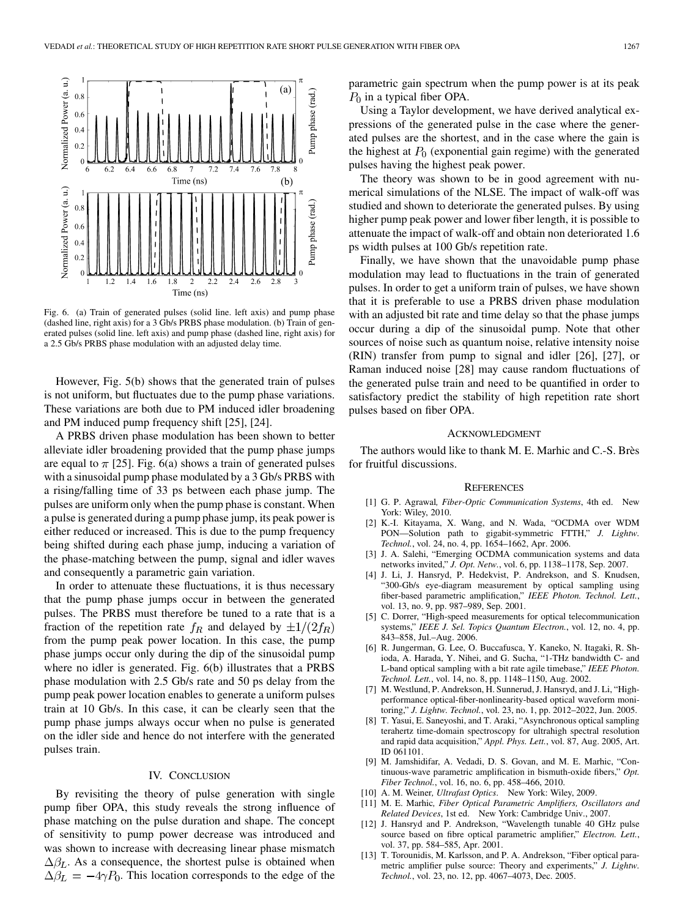

Fig. 6. (a) Train of generated pulses (solid line. left axis) and pump phase (dashed line, right axis) for a 3 Gb/s PRBS phase modulation. (b) Train of generated pulses (solid line. left axis) and pump phase (dashed line, right axis) for a 2.5 Gb/s PRBS phase modulation with an adjusted delay time.

However, Fig. 5(b) shows that the generated train of pulses is not uniform, but fluctuates due to the pump phase variations. These variations are both due to PM induced idler broadening and PM induced pump frequency shift [25], [24].

A PRBS driven phase modulation has been shown to better alleviate idler broadening provided that the pump phase jumps are equal to  $\pi$  [25]. Fig. 6(a) shows a train of generated pulses with a sinusoidal pump phase modulated by a 3 Gb/s PRBS with a rising/falling time of 33 ps between each phase jump. The pulses are uniform only when the pump phase is constant. When a pulse is generated during a pump phase jump, its peak power is either reduced or increased. This is due to the pump frequency being shifted during each phase jump, inducing a variation of the phase-matching between the pump, signal and idler waves and consequently a parametric gain variation.

In order to attenuate these fluctuations, it is thus necessary that the pump phase jumps occur in between the generated pulses. The PRBS must therefore be tuned to a rate that is a fraction of the repetition rate  $f_R$  and delayed by  $\pm 1/(2f_R)$ from the pump peak power location. In this case, the pump phase jumps occur only during the dip of the sinusoidal pump where no idler is generated. Fig. 6(b) illustrates that a PRBS phase modulation with 2.5 Gb/s rate and 50 ps delay from the pump peak power location enables to generate a uniform pulses train at 10 Gb/s. In this case, it can be clearly seen that the pump phase jumps always occur when no pulse is generated on the idler side and hence do not interfere with the generated pulses train.

## IV. CONCLUSION

By revisiting the theory of pulse generation with single pump fiber OPA, this study reveals the strong influence of phase matching on the pulse duration and shape. The concept of sensitivity to pump power decrease was introduced and was shown to increase with decreasing linear phase mismatch  $\Delta\beta_L$ . As a consequence, the shortest pulse is obtained when  $\Delta\beta_L = -4\gamma P_0$ . This location corresponds to the edge of the

parametric gain spectrum when the pump power is at its peak  $P_0$  in a typical fiber OPA.

Using a Taylor development, we have derived analytical expressions of the generated pulse in the case where the generated pulses are the shortest, and in the case where the gain is the highest at  $P_0$  (exponential gain regime) with the generated pulses having the highest peak power.

The theory was shown to be in good agreement with numerical simulations of the NLSE. The impact of walk-off was studied and shown to deteriorate the generated pulses. By using higher pump peak power and lower fiber length, it is possible to attenuate the impact of walk-off and obtain non deteriorated 1.6 ps width pulses at 100 Gb/s repetition rate.

Finally, we have shown that the unavoidable pump phase modulation may lead to fluctuations in the train of generated pulses. In order to get a uniform train of pulses, we have shown that it is preferable to use a PRBS driven phase modulation with an adjusted bit rate and time delay so that the phase jumps occur during a dip of the sinusoidal pump. Note that other sources of noise such as quantum noise, relative intensity noise (RIN) transfer from pump to signal and idler [26], [27], or Raman induced noise [28] may cause random fluctuations of the generated pulse train and need to be quantified in order to satisfactory predict the stability of high repetition rate short pulses based on fiber OPA.

#### ACKNOWLEDGMENT

The authors would like to thank M. E. Marhic and C.-S. Brès for fruitful discussions.

#### **REFERENCES**

- [1] G. P. Agrawal*, Fiber-Optic Communication Systems*, 4th ed. New York: Wiley, 2010.
- [2] K.-I. Kitayama, X. Wang, and N. Wada, "OCDMA over WDM PON—Solution path to gigabit-symmetric FTTH," *J. Lightw. Technol.*, vol. 24, no. 4, pp. 1654–1662, Apr. 2006.
- [3] J. A. Salehi, "Emerging OCDMA communication systems and data networks invited," *J. Opt. Netw.*, vol. 6, pp. 1138–1178, Sep. 2007.
- [4] J. Li, J. Hansryd, P. Hedekvist, P. Andrekson, and S. Knudsen, "300-Gb/s eye-diagram measurement by optical sampling using fiber-based parametric amplification," *IEEE Photon. Technol. Lett.*, vol. 13, no. 9, pp. 987–989, Sep. 2001.
- [5] C. Dorrer, "High-speed measurements for optical telecommunication systems," *IEEE J. Sel. Topics Quantum Electron.*, vol. 12, no. 4, pp. 843–858, Jul.–Aug. 2006.
- [6] R. Jungerman, G. Lee, O. Buccafusca, Y. Kaneko, N. Itagaki, R. Shioda, A. Harada, Y. Nihei, and G. Sucha, "1-THz bandwidth C- and L-band optical sampling with a bit rate agile timebase," *IEEE Photon. Technol. Lett.*, vol. 14, no. 8, pp. 1148–1150, Aug. 2002.
- [7] M. Westlund, P. Andrekson, H. Sunnerud, J. Hansryd, and J. Li, "Highperformance optical-fiber-nonlinearity-based optical waveform monitoring," *J. Lightw. Technol.*, vol. 23, no. 1, pp. 2012–2022, Jun. 2005.
- [8] T. Yasui, E. Saneyoshi, and T. Araki, "Asynchronous optical sampling terahertz time-domain spectroscopy for ultrahigh spectral resolution and rapid data acquisition," *Appl. Phys. Lett.*, vol. 87, Aug. 2005, Art. ID 061101.
- [9] M. Jamshidifar, A. Vedadi, D. S. Govan, and M. E. Marhic, "Continuous-wave parametric amplification in bismuth-oxide fibers," *Opt. Fiber Technol.*, vol. 16, no. 6, pp. 458–466, 2010.
- [10] A. M. Weiner*, Ultrafast Optics*. New York: Wiley, 2009.
- [11] M. E. Marhic*, Fiber Optical Parametric Amplifiers, Oscillators and Related Devices*, 1st ed. New York: Cambridge Univ., 2007.
- [12] J. Hansryd and P. Andrekson, "Wavelength tunable 40 GHz pulse source based on fibre optical parametric amplifier," *Electron. Lett.*, vol. 37, pp. 584–585, Apr. 2001.
- [13] T. Torounidis, M. Karlsson, and P. A. Andrekson, "Fiber optical parametric amplifier pulse source: Theory and experiments," *J. Lightw. Technol.*, vol. 23, no. 12, pp. 4067–4073, Dec. 2005.